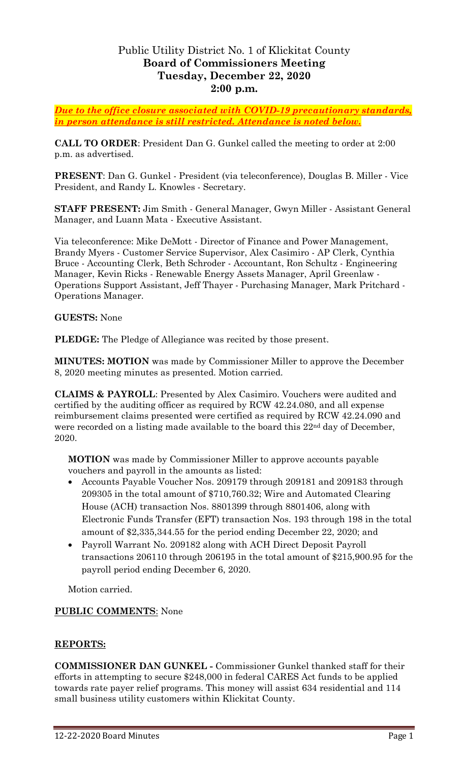## Public Utility District No. 1 of Klickitat County **Board of Commissioners Meeting Tuesday, December 22, 2020 2:00 p.m.**

*Due to the office closure associated with COVID-19 precautionary standards, in person attendance is still restricted. Attendance is noted below.*

**CALL TO ORDER**: President Dan G. Gunkel called the meeting to order at 2:00 p.m. as advertised.

**PRESENT**: Dan G. Gunkel - President (via teleconference), Douglas B. Miller - Vice President, and Randy L. Knowles - Secretary.

**STAFF PRESENT:** Jim Smith - General Manager, Gwyn Miller - Assistant General Manager, and Luann Mata - Executive Assistant.

Via teleconference: Mike DeMott - Director of Finance and Power Management, Brandy Myers - Customer Service Supervisor, Alex Casimiro - AP Clerk, Cynthia Bruce - Accounting Clerk, Beth Schroder - Accountant, Ron Schultz - Engineering Manager, Kevin Ricks - Renewable Energy Assets Manager, April Greenlaw - Operations Support Assistant, Jeff Thayer - Purchasing Manager, Mark Pritchard - Operations Manager.

## **GUESTS:** None

**PLEDGE:** The Pledge of Allegiance was recited by those present.

**MINUTES: MOTION** was made by Commissioner Miller to approve the December 8, 2020 meeting minutes as presented. Motion carried.

**CLAIMS & PAYROLL**: Presented by Alex Casimiro. Vouchers were audited and certified by the auditing officer as required by RCW 42.24.080, and all expense reimbursement claims presented were certified as required by RCW 42.24.090 and were recorded on a listing made available to the board this 22<sup>nd</sup> day of December, 2020.

**MOTION** was made by Commissioner Miller to approve accounts payable vouchers and payroll in the amounts as listed:

- Accounts Payable Voucher Nos. 209179 through 209181 and 209183 through 209305 in the total amount of \$710,760.32; Wire and Automated Clearing House (ACH) transaction Nos. 8801399 through 8801406, along with Electronic Funds Transfer (EFT) transaction Nos. 193 through 198 in the total amount of \$2,335,344.55 for the period ending December 22, 2020; and
- Payroll Warrant No. 209182 along with ACH Direct Deposit Payroll transactions 206110 through 206195 in the total amount of \$215,900.95 for the payroll period ending December 6, 2020.

Motion carried.

## **PUBLIC COMMENTS**: None

## **REPORTS:**

**COMMISSIONER DAN GUNKEL -** Commissioner Gunkel thanked staff for their efforts in attempting to secure \$248,000 in federal CARES Act funds to be applied towards rate payer relief programs. This money will assist 634 residential and 114 small business utility customers within Klickitat County.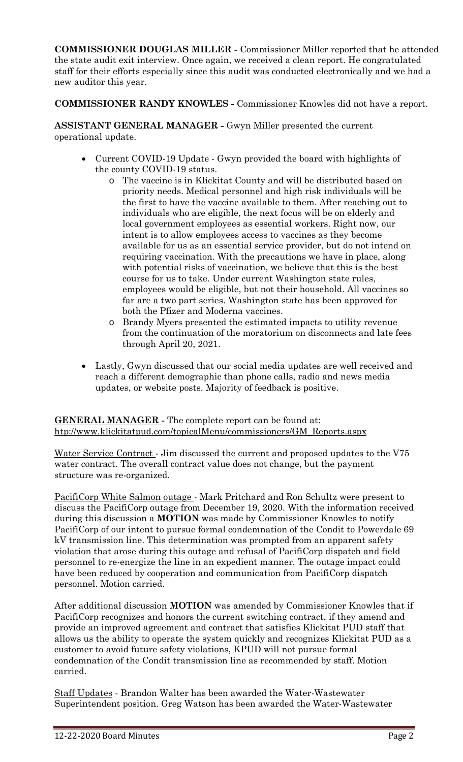**COMMISSIONER DOUGLAS MILLER -** Commissioner Miller reported that he attended the state audit exit interview. Once again, we received a clean report. He congratulated staff for their efforts especially since this audit was conducted electronically and we had a new auditor this year.

**COMMISSIONER RANDY KNOWLES -** Commissioner Knowles did not have a report.

**ASSISTANT GENERAL MANAGER -** Gwyn Miller presented the current operational update.

- Current COVID-19 Update Gwyn provided the board with highlights of the county COVID-19 status.
	- o The vaccine is in Klickitat County and will be distributed based on priority needs. Medical personnel and high risk individuals will be the first to have the vaccine available to them. After reaching out to individuals who are eligible, the next focus will be on elderly and local government employees as essential workers. Right now, our intent is to allow employees access to vaccines as they become available for us as an essential service provider, but do not intend on requiring vaccination. With the precautions we have in place, along with potential risks of vaccination, we believe that this is the best course for us to take. Under current Washington state rules, employees would be eligible, but not their household. All vaccines so far are a two part series. Washington state has been approved for both the Pfizer and Moderna vaccines.
	- o Brandy Myers presented the estimated impacts to utility revenue from the continuation of the moratorium on disconnects and late fees through April 20, 2021.
- Lastly, Gwyn discussed that our social media updates are well received and reach a different demographic than phone calls, radio and news media updates, or website posts. Majority of feedback is positive.

**GENERAL MANAGER -** The complete report can be found at: [htp://www.klickitatpud.com/topicalMenu/commissioners/GM\\_Reports.aspx](http://www.klickitatpud.com/topicalMenu/commissioners/GM_Reports.aspx)

Water Service Contract - Jim discussed the current and proposed updates to the V75 water contract. The overall contract value does not change, but the payment structure was re-organized.

PacifiCorp White Salmon outage - Mark Pritchard and Ron Schultz were present to discuss the PacifiCorp outage from December 19, 2020. With the information received during this discussion a **MOTION** was made by Commissioner Knowles to notify PacifiCorp of our intent to pursue formal condemnation of the Condit to Powerdale 69 kV transmission line. This determination was prompted from an apparent safety violation that arose during this outage and refusal of PacifiCorp dispatch and field personnel to re-energize the line in an expedient manner. The outage impact could have been reduced by cooperation and communication from PacifiCorp dispatch personnel. Motion carried.

After additional discussion **MOTION** was amended by Commissioner Knowles that if PacifiCorp recognizes and honors the current switching contract, if they amend and provide an improved agreement and contract that satisfies Klickitat PUD staff that allows us the ability to operate the system quickly and recognizes Klickitat PUD as a customer to avoid future safety violations, KPUD will not pursue formal condemnation of the Condit transmission line as recommended by staff. Motion carried.

Staff Updates - Brandon Walter has been awarded the Water-Wastewater Superintendent position. Greg Watson has been awarded the Water-Wastewater